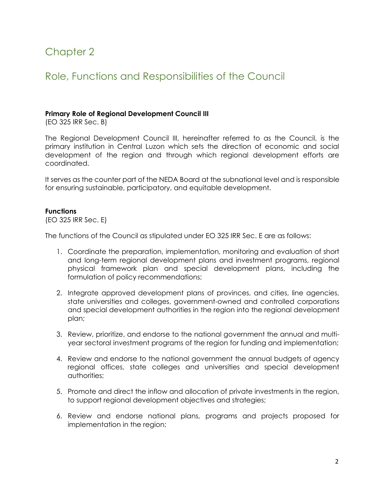# Chapter 2

## Role, Functions and Responsibilities of the Council

#### **Primary Role of Regional Development Council III**

(EO 325 IRR Sec. B)

The Regional Development Council III, hereinafter referred to as the Council, is the primary institution in Central Luzon which sets the direction of economic and social development of the region and through which regional development efforts are coordinated.

It serves as the counter part of the NEDA Board at the subnational level and is responsible for ensuring sustainable, participatory, and equitable development.

#### **Functions**

(EO 325 IRR Sec. E)

The functions of the Council as stipulated under EO 325 IRR Sec. E are as follows:

- 1. Coordinate the preparation, implementation, monitoring and evaluation of short and long-term regional development plans and investment programs, regional physical framework plan and special development plans, including the formulation of policy recommendations;
- 2. Integrate approved development plans of provinces, and cities, line agencies, state universities and colleges, government-owned and controlled corporations and special development authorities in the region into the regional development plan;
- 3. Review, prioritize, and endorse to the national government the annual and multiyear sectoral investment programs of the region for funding and implementation;
- 4. Review and endorse to the national government the annual budgets of agency regional offices, state colleges and universities and special development authorities;
- 5. Promote and direct the inflow and allocation of private investments in the region, to support regional development objectives and strategies;
- 6. Review and endorse national plans, programs and projects proposed for implementation in the region;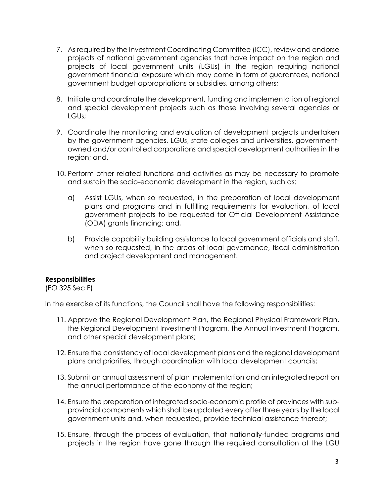- 7. As required by the Investment Coordinating Committee (ICC), review and endorse projects of national government agencies that have impact on the region and projects of local government units (LGUs) in the region requiring national government financial exposure which may come in form of guarantees, national government budget appropriations or subsidies, among others;
- 8. Initiate and coordinate the development, funding and implementation of regional and special development projects such as those involving several agencies or LGUs;
- 9. Coordinate the monitoring and evaluation of development projects undertaken by the government agencies, LGUs, state colleges and universities, governmentowned and/or controlled corporations and special development authorities in the region; and,
- 10. Perform other related functions and activities as may be necessary to promote and sustain the socio-economic development in the region, such as:
	- a) Assist LGUs, when so requested, in the preparation of local development plans and programs and in fulfilling requirements for evaluation, of local government projects to be requested for Official Development Assistance (ODA) grants financing; and,
	- b) Provide capability building assistance to local government officials and staff, when so requested, in the areas of local governance, fiscal administration and project development and management.

### **Responsibilities**

(EO 325 Sec F)

In the exercise of its functions, the Council shall have the following responsibilities:

- 11. Approve the Regional Development Plan, the Regional Physical Framework Plan, the Regional Development Investment Program, the Annual Investment Program, and other special development plans;
- 12. Ensure the consistency of local development plans and the regional development plans and priorities, through coordination with local development councils;
- 13. Submit an annual assessment of plan implementation and an integrated report on the annual performance of the economy of the region;
- 14. Ensure the preparation of integrated socio-economic profile of provinces with subprovincial components which shall be updated every after three years by the local government units and, when requested, provide technical assistance thereof;
- 15. Ensure, through the process of evaluation, that nationally-funded programs and projects in the region have gone through the required consultation at the LGU